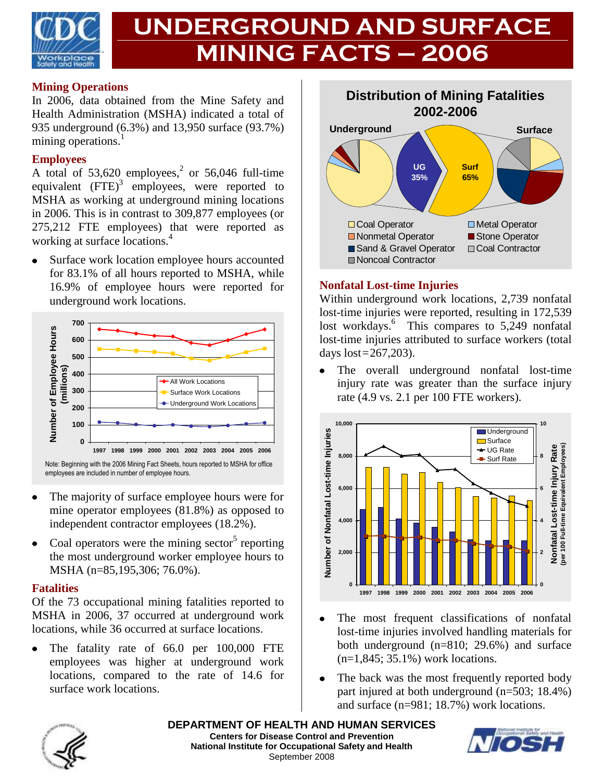

# **UNDERGROUND AND SURFACE MINING FACTS – 2006**

#### **Mining Operations**

In 2006, data obtained from the Mine Safety and Health Administration (MSHA) indicated a total of 935 underground (6.3%) and 13,950 surface (93.7%) mining operations.<sup>1</sup>

#### **Employees**

A total of  $53,620$  employees,<sup>2</sup> or  $56,046$  full-time equivalent  $(FTE)^3$  employees, were reported to MSHA as working at underground mining locations in 2006. This is in contrast to 309,877 employees (or 275,212 FTE employees) that were reported as working at surface locations.<sup>4</sup>

Surface work location employee hours accounted for 83.1% of all hours reported to MSHA, while 16.9% of employee hours were reported for underground work locations.



Note: Beginning with the 2006 Mining Fact Sheets, hours reported to MSHA for office employees are included in number of employee hours.

- The majority of surface employee hours were for mine operator employees (81.8%) as opposed to independent contractor employees (18.2%).
- Coal operators were the mining sector<sup>5</sup> reporting the most underground worker employee hours to MSHA (n=85,195,306; 76.0%).

#### **Fatalities**

Of the 73 occupational mining fatalities reported to MSHA in 2006, 37 occurred at underground work locations, while 36 occurred at surface locations.

The fatality rate of 66.0 per 100,000 FTE employees was higher at underground work locations, compared to the rate of 14.6 for surface work locations.



#### **Nonfatal Lost-time Injuries**

Within underground work locations, 2,739 nonfatal lost-time injuries were reported, resulting in 172,539 lost workdays.<sup>6</sup> This compares to 5,249 nonfatal lost-time injuries attributed to surface workers (total days lost=267,203).

The overall underground nonfatal lost-time  $\bullet$ injury rate was greater than the surface injury rate (4.9 vs. 2.1 per 100 FTE workers).



- The most frequent classifications of nonfatal  $\bullet$ lost-time injuries involved handling materials for both underground (n=810; 29.6%) and surface (n=1,845; 35.1%) work locations.
- The back was the most frequently reported body part injured at both underground (n=503; 18.4%) and surface (n=981; 18.7%) work locations.



**DEPARTMENT OF HEALTH AND HUMAN SERVICES Centers for Disease Control and Prevention National Institute for Occupational Safety and Health** September 2008